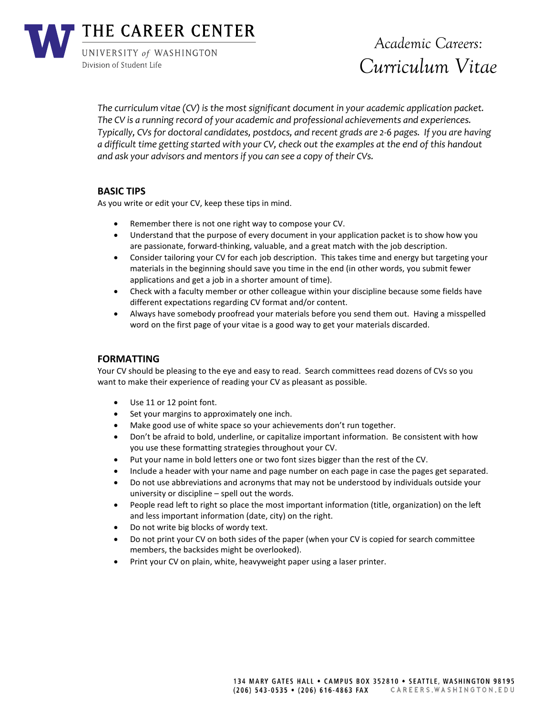

*The curriculum vitae (CV) is the most significant document in your academic application packet. The CV is a running record of your academic and professional achievements and experiences. Typically, CVs for doctoral candidates, postdocs, and recent grads are 2-6 pages. If you are having a difficult time getting started with your CV, check out the examples at the end of this handout and ask your advisors and mentors if you can see a copy of their CVs.*

# **BASIC TIPS**

As you write or edit your CV, keep these tips in mind.

- Remember there is not one right way to compose your CV.
- Understand that the purpose of every document in your application packet is to show how you are passionate, forward-thinking, valuable, and a great match with the job description.
- Consider tailoring your CV for each job description. This takes time and energy but targeting your materials in the beginning should save you time in the end (in other words, you submit fewer applications and get a job in a shorter amount of time).
- Check with a faculty member or other colleague within your discipline because some fields have different expectations regarding CV format and/or content.
- Always have somebody proofread your materials before you send them out. Having a misspelled word on the first page of your vitae is a good way to get your materials discarded.

# **FORMATTING**

Your CV should be pleasing to the eye and easy to read. Search committees read dozens of CVs so you want to make their experience of reading your CV as pleasant as possible.

- Use 11 or 12 point font.
- Set your margins to approximately one inch.
- Make good use of white space so your achievements don't run together.
- Don't be afraid to bold, underline, or capitalize important information. Be consistent with how you use these formatting strategies throughout your CV.
- Put your name in bold letters one or two font sizes bigger than the rest of the CV.
- Include a header with your name and page number on each page in case the pages get separated.
- Do not use abbreviations and acronyms that may not be understood by individuals outside your university or discipline – spell out the words.
- People read left to right so place the most important information (title, organization) on the left and less important information (date, city) on the right.
- Do not write big blocks of wordy text.
- Do not print your CV on both sides of the paper (when your CV is copied for search committee members, the backsides might be overlooked).
- Print your CV on plain, white, heavyweight paper using a laser printer.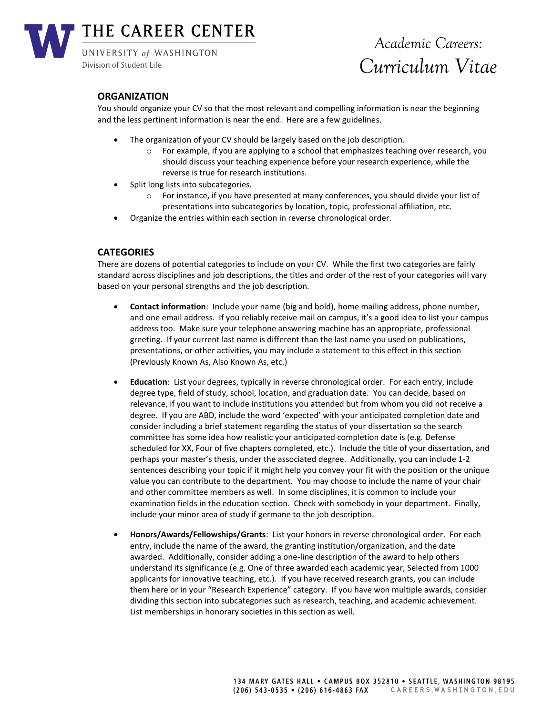

# **ORGANIZATION**

You should organize your CV so that the most relevant and compelling information is near the beginning and the less pertinent information is near the end. Here are a few guidelines.

- The organization of your CV should be largely based on the job description.
	- o For example, if you are applying to a school that emphasizes teaching over research, you should discuss your teaching experience before your research experience, while the reverse is true for research institutions.
- Split long lists into subcategories.
	- $\circ$  For instance, if you have presented at many conferences, you should divide your list of presentations into subcategories by location, topic, professional affiliation, etc.
- Organize the entries within each section in reverse chronological order.

# **CATEGORIES**

There are dozens of potential categories to include on your CV. While the first two categories are fairly standard across disciplines and job descriptions, the titles and order of the rest of your categories will vary based on your personal strengths and the job description.

- **Contact information**: Include your name (big and bold), home mailing address, phone number, and one email address. If you reliably receive mail on campus, it's a good idea to list your campus address too. Make sure your telephone answering machine has an appropriate, professional greeting. If your current last name is different than the last name you used on publications, presentations, or other activities, you may include a statement to this effect in this section (Previously Known As, Also Known As, etc.)
- **Education**: List your degrees, typically in reverse chronological order. For each entry, include degree type, field of study, school, location, and graduation date. You can decide, based on relevance, if you want to include institutions you attended but from whom you did not receive a degree. If you are ABD, include the word 'expected' with your anticipated completion date and consider including a brief statement regarding the status of your dissertation so the search committee has some idea how realistic your anticipated completion date is (e.g. Defense scheduled for XX, Four of five chapters completed, etc.). Include the title of your dissertation, and perhaps your master's thesis, under the associated degree. Additionally, you can include 1-2 sentences describing your topic if it might help you convey your fit with the position or the unique value you can contribute to the department. You may choose to include the name of your chair and other committee members as well. In some disciplines, it is common to include your examination fields in the education section. Check with somebody in your department. Finally, include your minor area of study if germane to the job description.
- **Honors/Awards/Fellowships/Grants**: List your honors in reverse chronological order. For each entry, include the name of the award, the granting institution/organization, and the date awarded. Additionally, consider adding a one-line description of the award to help others understand its significance (e.g. One of three awarded each academic year, Selected from 1000 applicants for innovative teaching, etc.). If you have received research grants, you can include them here or in your "Research Experience" category. If you have won multiple awards, consider dividing this section into subcategories such as research, teaching, and academic achievement. List memberships in honorary societies in this section as well.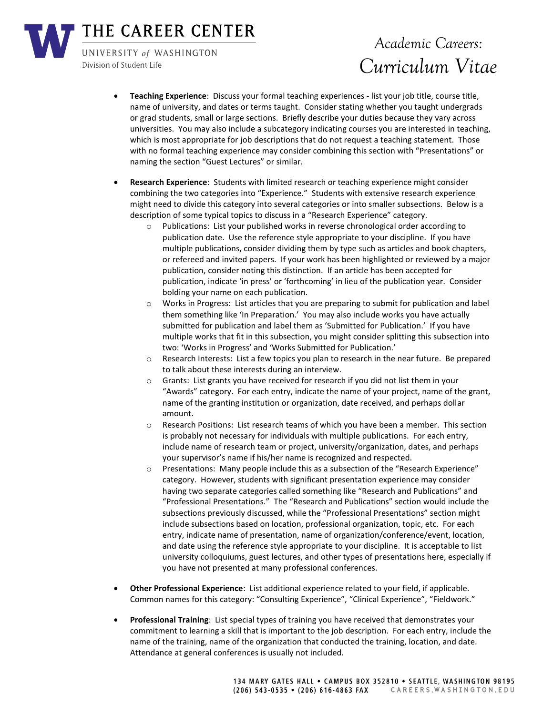THE CAREER CENTER

UNIVERSITY of WASHINGTON Division of Student Life

# *Academic Careers: Curriculum Vitae*

- **Teaching Experience**: Discuss your formal teaching experiences list your job title, course title, name of university, and dates or terms taught. Consider stating whether you taught undergrads or grad students, small or large sections. Briefly describe your duties because they vary across universities. You may also include a subcategory indicating courses you are interested in teaching, which is most appropriate for job descriptions that do not request a teaching statement. Those with no formal teaching experience may consider combining this section with "Presentations" or naming the section "Guest Lectures" or similar.
- **Research Experience**: Students with limited research or teaching experience might consider combining the two categories into "Experience." Students with extensive research experience might need to divide this category into several categories or into smaller subsections. Below is a description of some typical topics to discuss in a "Research Experience" category.
	- o Publications: List your published works in reverse chronological order according to publication date. Use the reference style appropriate to your discipline. If you have multiple publications, consider dividing them by type such as articles and book chapters, or refereed and invited papers. If your work has been highlighted or reviewed by a major publication, consider noting this distinction. If an article has been accepted for publication, indicate 'in press' or 'forthcoming' in lieu of the publication year. Consider bolding your name on each publication.
	- o Works in Progress: List articles that you are preparing to submit for publication and label them something like 'In Preparation.' You may also include works you have actually submitted for publication and label them as 'Submitted for Publication.' If you have multiple works that fit in this subsection, you might consider splitting this subsection into two: 'Works in Progress' and 'Works Submitted for Publication.'
	- o Research Interests: List a few topics you plan to research in the near future. Be prepared to talk about these interests during an interview.
	- $\circ$  Grants: List grants you have received for research if you did not list them in your "Awards" category. For each entry, indicate the name of your project, name of the grant, name of the granting institution or organization, date received, and perhaps dollar amount.
	- o Research Positions: List research teams of which you have been a member. This section is probably not necessary for individuals with multiple publications. For each entry, include name of research team or project, university/organization, dates, and perhaps your supervisor's name if his/her name is recognized and respected.
	- Presentations: Many people include this as a subsection of the "Research Experience" category. However, students with significant presentation experience may consider having two separate categories called something like "Research and Publications" and "Professional Presentations." The "Research and Publications" section would include the subsections previously discussed, while the "Professional Presentations" section might include subsections based on location, professional organization, topic, etc. For each entry, indicate name of presentation, name of organization/conference/event, location, and date using the reference style appropriate to your discipline. It is acceptable to list university colloquiums, guest lectures, and other types of presentations here, especially if you have not presented at many professional conferences.
- **Other Professional Experience**: List additional experience related to your field, if applicable. Common names for this category: "Consulting Experience", "Clinical Experience", "Fieldwork."
- **Professional Training**: List special types of training you have received that demonstrates your commitment to learning a skill that is important to the job description. For each entry, include the name of the training, name of the organization that conducted the training, location, and date. Attendance at general conferences is usually not included.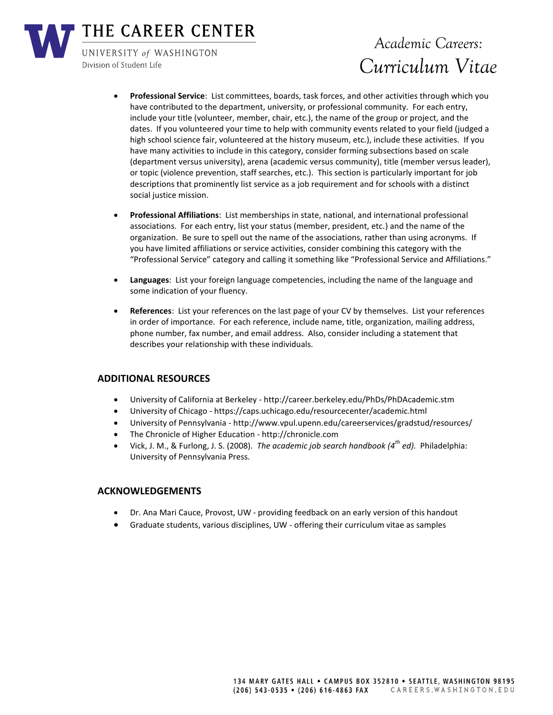

THE CAREER CENTER

UNIVERSITY of WASHINGTON Division of Student Life

# *Academic Careers: Curriculum Vitae*

- **Professional Service**: List committees, boards, task forces, and other activities through which you have contributed to the department, university, or professional community. For each entry, include your title (volunteer, member, chair, etc.), the name of the group or project, and the dates. If you volunteered your time to help with community events related to your field (judged a high school science fair, volunteered at the history museum, etc.), include these activities. If you have many activities to include in this category, consider forming subsections based on scale (department versus university), arena (academic versus community), title (member versus leader), or topic (violence prevention, staff searches, etc.). This section is particularly important for job descriptions that prominently list service as a job requirement and for schools with a distinct social justice mission.
- **Professional Affiliations**: List memberships in state, national, and international professional associations. For each entry, list your status (member, president, etc.) and the name of the organization. Be sure to spell out the name of the associations, rather than using acronyms. If you have limited affiliations or service activities, consider combining this category with the "Professional Service" category and calling it something like "Professional Service and Affiliations."
- **Languages**: List your foreign language competencies, including the name of the language and some indication of your fluency.
- **References**: List your references on the last page of your CV by themselves. List your references in order of importance. For each reference, include name, title, organization, mailing address, phone number, fax number, and email address. Also, consider including a statement that describes your relationship with these individuals.

# **ADDITIONAL RESOURCES**

- University of California at Berkeley http://career.berkeley.edu/PhDs/PhDAcademic.stm
- University of Chicago https://caps.uchicago.edu/resourcecenter/academic.html
- University of Pennsylvania http://www.vpul.upenn.edu/careerservices/gradstud/resources/
- The Chronicle of Higher Education http://chronicle.com
- Vick, J. M., & Furlong, J. S. (2008). *The academic job search handbook (4th ed).* Philadelphia: University of Pennsylvania Press.

# **ACKNOWLEDGEMENTS**

- Dr. Ana Mari Cauce, Provost, UW providing feedback on an early version of this handout
- Graduate students, various disciplines, UW offering their curriculum vitae as samples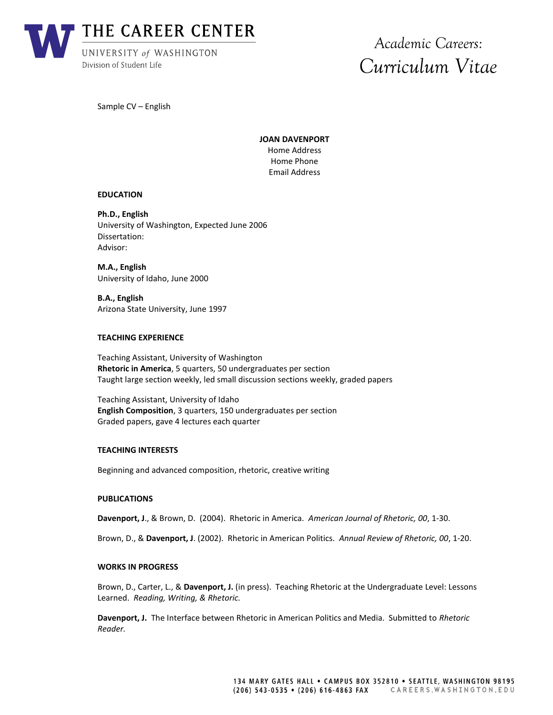

Sample CV – English

**JOAN DAVENPORT** Home Address Home Phone Email Address

#### **EDUCATION**

**Ph.D., English** University of Washington, Expected June 2006 Dissertation: Advisor:

**M.A., English** University of Idaho, June 2000

**B.A., English** Arizona State University, June 1997

### **TEACHING EXPERIENCE**

Teaching Assistant, University of Washington **Rhetoric in America**, 5 quarters, 50 undergraduates per section Taught large section weekly, led small discussion sections weekly, graded papers

Teaching Assistant, University of Idaho **English Composition**, 3 quarters, 150 undergraduates per section Graded papers, gave 4 lectures each quarter

#### **TEACHING INTERESTS**

Beginning and advanced composition, rhetoric, creative writing

## **PUBLICATIONS**

**Davenport, J**., & Brown, D. (2004). Rhetoric in America. *American Journal of Rhetoric, 00*, 1-30.

Brown, D., & **Davenport, J**. (2002). Rhetoric in American Politics. *Annual Review of Rhetoric, 00*, 1-20.

#### **WORKS IN PROGRESS**

Brown, D., Carter, L., & **Davenport, J.** (in press). Teaching Rhetoric at the Undergraduate Level: Lessons Learned. *Reading, Writing, & Rhetoric.*

**Davenport, J.** The Interface between Rhetoric in American Politics and Media. Submitted to *Rhetoric Reader.*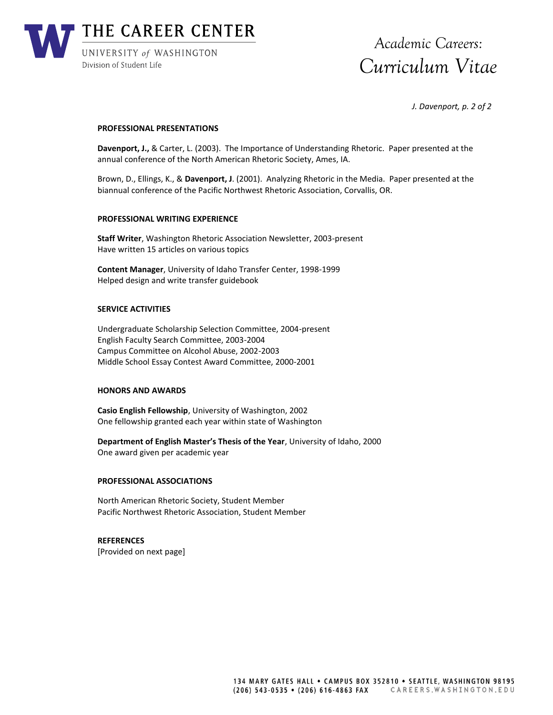

*J. Davenport, p. 2 of 2*

#### **PROFESSIONAL PRESENTATIONS**

**Davenport, J.,** & Carter, L. (2003). The Importance of Understanding Rhetoric. Paper presented at the annual conference of the North American Rhetoric Society, Ames, IA.

Brown, D., Ellings, K., & **Davenport, J**. (2001). Analyzing Rhetoric in the Media. Paper presented at the biannual conference of the Pacific Northwest Rhetoric Association, Corvallis, OR.

#### **PROFESSIONAL WRITING EXPERIENCE**

**Staff Writer**, Washington Rhetoric Association Newsletter, 2003-present Have written 15 articles on various topics

**Content Manager**, University of Idaho Transfer Center, 1998-1999 Helped design and write transfer guidebook

#### **SERVICE ACTIVITIES**

Undergraduate Scholarship Selection Committee, 2004-present English Faculty Search Committee, 2003-2004 Campus Committee on Alcohol Abuse, 2002-2003 Middle School Essay Contest Award Committee, 2000-2001

#### **HONORS AND AWARDS**

**Casio English Fellowship**, University of Washington, 2002 One fellowship granted each year within state of Washington

**Department of English Master's Thesis of the Year**, University of Idaho, 2000 One award given per academic year

#### **PROFESSIONAL ASSOCIATIONS**

North American Rhetoric Society, Student Member Pacific Northwest Rhetoric Association, Student Member

**REFERENCES** [Provided on next page]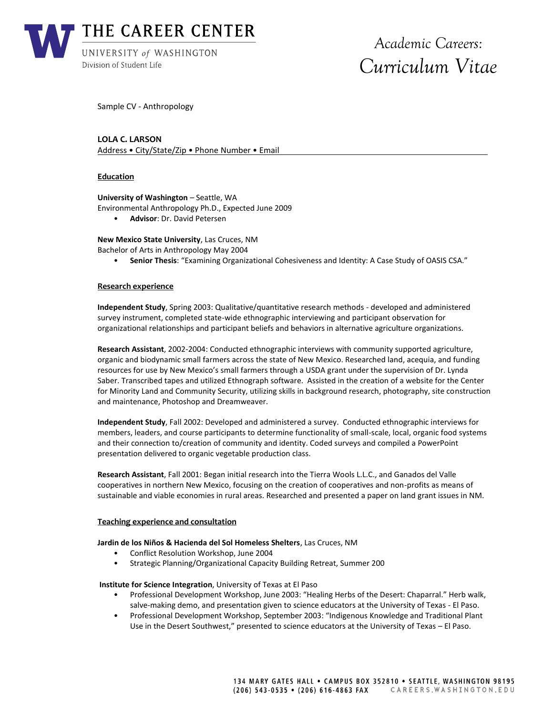

Sample CV - Anthropology

# **LOLA C. LARSON**

Address • City/State/Zip • Phone Number • Email

### **Education**

**University of Washington** – Seattle, WA

Environmental Anthropology Ph.D., Expected June 2009

• **Advisor**: Dr. David Petersen

**New Mexico State University**, Las Cruces, NM

- Bachelor of Arts in Anthropology May 2004
	- **Senior Thesis**: "Examining Organizational Cohesiveness and Identity: A Case Study of OASIS CSA."

#### **Research experience**

**Independent Study**, Spring 2003: Qualitative/quantitative research methods - developed and administered survey instrument, completed state-wide ethnographic interviewing and participant observation for organizational relationships and participant beliefs and behaviors in alternative agriculture organizations.

**Research Assistant**, 2002-2004: Conducted ethnographic interviews with community supported agriculture, organic and biodynamic small farmers across the state of New Mexico. Researched land, acequia, and funding resources for use by New Mexico's small farmers through a USDA grant under the supervision of Dr. Lynda Saber. Transcribed tapes and utilized Ethnograph software. Assisted in the creation of a website for the Center for Minority Land and Community Security, utilizing skills in background research, photography, site construction and maintenance, Photoshop and Dreamweaver.

**Independent Study**, Fall 2002: Developed and administered a survey. Conducted ethnographic interviews for members, leaders, and course participants to determine functionality of small-scale, local, organic food systems and their connection to/creation of community and identity. Coded surveys and compiled a PowerPoint presentation delivered to organic vegetable production class.

**Research Assistant**, Fall 2001: Began initial research into the Tierra Wools L.L.C., and Ganados del Valle cooperatives in northern New Mexico, focusing on the creation of cooperatives and non-profits as means of sustainable and viable economies in rural areas. Researched and presented a paper on land grant issues in NM.

#### **Teaching experience and consultation**

#### **Jardin de los Niños & Hacienda del Sol Homeless Shelters**, Las Cruces, NM

- Conflict Resolution Workshop, June 2004
- Strategic Planning/Organizational Capacity Building Retreat, Summer 200

#### **Institute for Science Integration**, University of Texas at El Paso

- Professional Development Workshop, June 2003: "Healing Herbs of the Desert: Chaparral." Herb walk, salve-making demo, and presentation given to science educators at the University of Texas - El Paso.
- Professional Development Workshop, September 2003: "Indigenous Knowledge and Traditional Plant Use in the Desert Southwest," presented to science educators at the University of Texas – El Paso.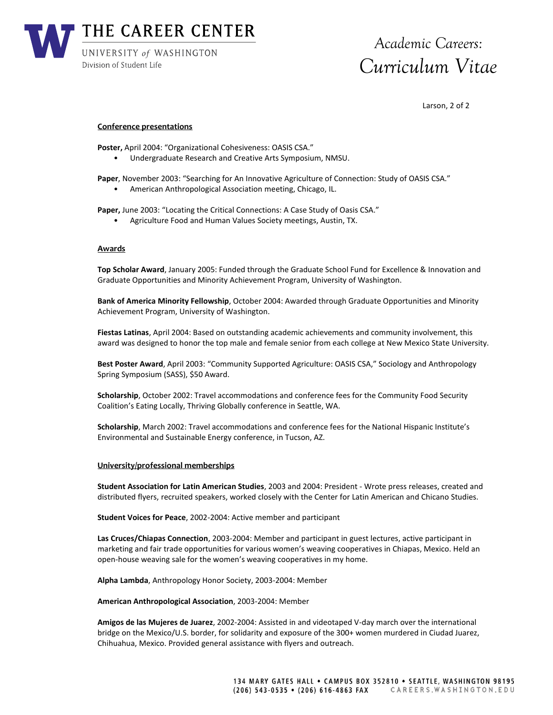

Larson, 2 of 2

#### **Conference presentations**

**Poster,** April 2004: "Organizational Cohesiveness: OASIS CSA."

• Undergraduate Research and Creative Arts Symposium, NMSU.

**Paper**, November 2003: "Searching for An Innovative Agriculture of Connection: Study of OASIS CSA." • American Anthropological Association meeting, Chicago, IL.

**Paper,** June 2003: "Locating the Critical Connections: A Case Study of Oasis CSA."

• Agriculture Food and Human Values Society meetings, Austin, TX.

#### **Awards**

**Top Scholar Award**, January 2005: Funded through the Graduate School Fund for Excellence & Innovation and Graduate Opportunities and Minority Achievement Program, University of Washington.

**Bank of America Minority Fellowship**, October 2004: Awarded through Graduate Opportunities and Minority Achievement Program, University of Washington.

**Fiestas Latinas**, April 2004: Based on outstanding academic achievements and community involvement, this award was designed to honor the top male and female senior from each college at New Mexico State University.

**Best Poster Award**, April 2003: "Community Supported Agriculture: OASIS CSA," Sociology and Anthropology Spring Symposium (SASS), \$50 Award.

**Scholarship**, October 2002: Travel accommodations and conference fees for the Community Food Security Coalition's Eating Locally, Thriving Globally conference in Seattle, WA.

**Scholarship**, March 2002: Travel accommodations and conference fees for the National Hispanic Institute's Environmental and Sustainable Energy conference, in Tucson, AZ.

#### **University/professional memberships**

**Student Association for Latin American Studies**, 2003 and 2004: President - Wrote press releases, created and distributed flyers, recruited speakers, worked closely with the Center for Latin American and Chicano Studies.

**Student Voices for Peace**, 2002-2004: Active member and participant

**Las Cruces/Chiapas Connection**, 2003-2004: Member and participant in guest lectures, active participant in marketing and fair trade opportunities for various women's weaving cooperatives in Chiapas, Mexico. Held an open-house weaving sale for the women's weaving cooperatives in my home.

**Alpha Lambda**, Anthropology Honor Society, 2003-2004: Member

**American Anthropological Association**, 2003-2004: Member

**Amigos de las Mujeres de Juarez**, 2002-2004: Assisted in and videotaped V-day march over the international bridge on the Mexico/U.S. border, for solidarity and exposure of the 300+ women murdered in Ciudad Juarez, Chihuahua, Mexico. Provided general assistance with flyers and outreach.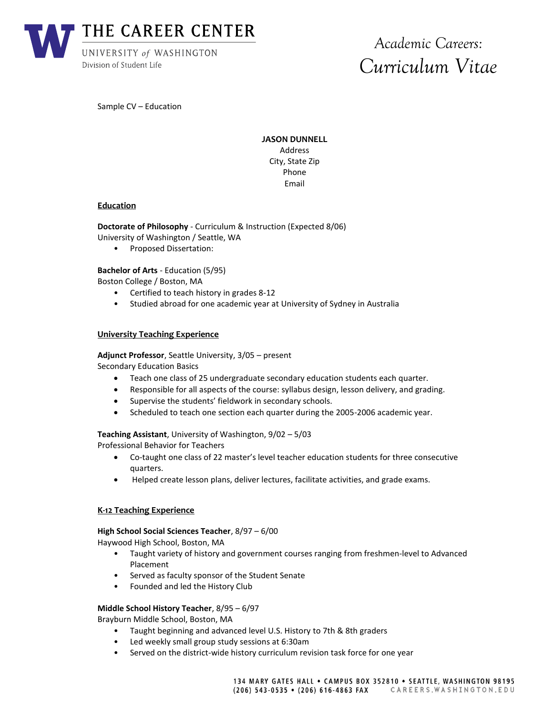

Sample CV – Education

**JASON DUNNELL** Address City, State Zip Phone Email

#### **Education**

**Doctorate of Philosophy** - Curriculum & Instruction (Expected 8/06) University of Washington / Seattle, WA

• Proposed Dissertation:

**Bachelor of Arts** - Education (5/95)

Boston College / Boston, MA

- Certified to teach history in grades 8-12
- Studied abroad for one academic year at University of Sydney in Australia

## **University Teaching Experience**

**Adjunct Professor**, Seattle University, 3/05 – present

Secondary Education Basics

- Teach one class of 25 undergraduate secondary education students each quarter.
- Responsible for all aspects of the course: syllabus design, lesson delivery, and grading.
- Supervise the students' fieldwork in secondary schools.
- Scheduled to teach one section each quarter during the 2005-2006 academic year.

**Teaching Assistant**, University of Washington, 9/02 – 5/03 Professional Behavior for Teachers

- Co-taught one class of 22 master's level teacher education students for three consecutive quarters.
- Helped create lesson plans, deliver lectures, facilitate activities, and grade exams.

#### **K-12 Teaching Experience**

#### **High School Social Sciences Teacher**, 8/97 – 6/00

Haywood High School, Boston, MA

- Taught variety of history and government courses ranging from freshmen-level to Advanced Placement
- Served as faculty sponsor of the Student Senate
- Founded and led the History Club

# **Middle School History Teacher**, 8/95 – 6/97

Brayburn Middle School, Boston, MA

- Taught beginning and advanced level U.S. History to 7th & 8th graders
- Led weekly small group study sessions at 6:30am
- Served on the district-wide history curriculum revision task force for one year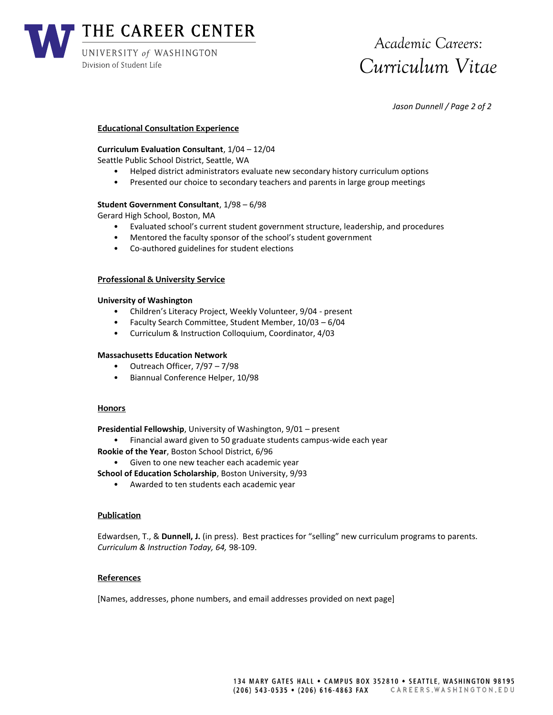

*Jason Dunnell / Page 2 of 2*

## **Educational Consultation Experience**

# **Curriculum Evaluation Consultant**, 1/04 – 12/04

Seattle Public School District, Seattle, WA

- Helped district administrators evaluate new secondary history curriculum options
- Presented our choice to secondary teachers and parents in large group meetings

# **Student Government Consultant**, 1/98 – 6/98

Gerard High School, Boston, MA

- Evaluated school's current student government structure, leadership, and procedures
- Mentored the faculty sponsor of the school's student government
- Co-authored guidelines for student elections

# **Professional & University Service**

## **University of Washington**

- Children's Literacy Project, Weekly Volunteer, 9/04 present
- Faculty Search Committee, Student Member, 10/03 6/04
- Curriculum & Instruction Colloquium, Coordinator, 4/03

# **Massachusetts Education Network**

- Outreach Officer, 7/97 7/98
- Biannual Conference Helper, 10/98

# **Honors**

**Presidential Fellowship**, University of Washington, 9/01 – present

- Financial award given to 50 graduate students campus-wide each year **Rookie of the Year**, Boston School District, 6/96
	- Given to one new teacher each academic year
- **School of Education Scholarship**, Boston University, 9/93
	- Awarded to ten students each academic year

# **Publication**

Edwardsen, T., & **Dunnell, J.** (in press). Best practices for "selling" new curriculum programs to parents. *Curriculum & Instruction Today, 64,* 98-109.

# **References**

[Names, addresses, phone numbers, and email addresses provided on next page]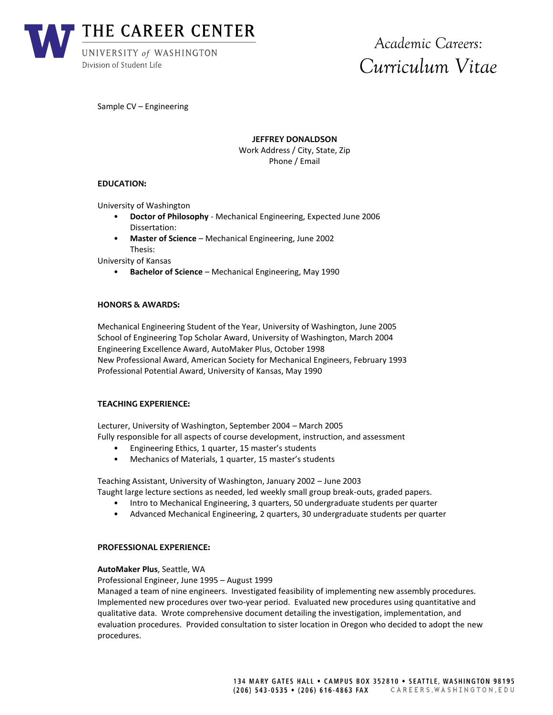

Sample CV – Engineering

**JEFFREY DONALDSON**

Work Address / City, State, Zip Phone / Email

# **EDUCATION:**

University of Washington

- **Doctor of Philosophy** Mechanical Engineering, Expected June 2006 Dissertation:
- **Master of Science** Mechanical Engineering, June 2002 Thesis:

University of Kansas

• **Bachelor of Science** – Mechanical Engineering, May 1990

## **HONORS & AWARDS:**

Mechanical Engineering Student of the Year, University of Washington, June 2005 School of Engineering Top Scholar Award, University of Washington, March 2004 Engineering Excellence Award, AutoMaker Plus, October 1998 New Professional Award, American Society for Mechanical Engineers, February 1993 Professional Potential Award, University of Kansas, May 1990

#### **TEACHING EXPERIENCE:**

Lecturer, University of Washington, September 2004 – March 2005 Fully responsible for all aspects of course development, instruction, and assessment

- Engineering Ethics, 1 quarter, 15 master's students
- Mechanics of Materials, 1 quarter, 15 master's students

Teaching Assistant, University of Washington, January 2002 – June 2003

- Taught large lecture sections as needed, led weekly small group break-outs, graded papers.
	- Intro to Mechanical Engineering, 3 quarters, 50 undergraduate students per quarter
	- Advanced Mechanical Engineering, 2 quarters, 30 undergraduate students per quarter

#### **PROFESSIONAL EXPERIENCE:**

#### **AutoMaker Plus**, Seattle, WA

Professional Engineer, June 1995 – August 1999

Managed a team of nine engineers. Investigated feasibility of implementing new assembly procedures. Implemented new procedures over two-year period. Evaluated new procedures using quantitative and qualitative data. Wrote comprehensive document detailing the investigation, implementation, and evaluation procedures. Provided consultation to sister location in Oregon who decided to adopt the new procedures.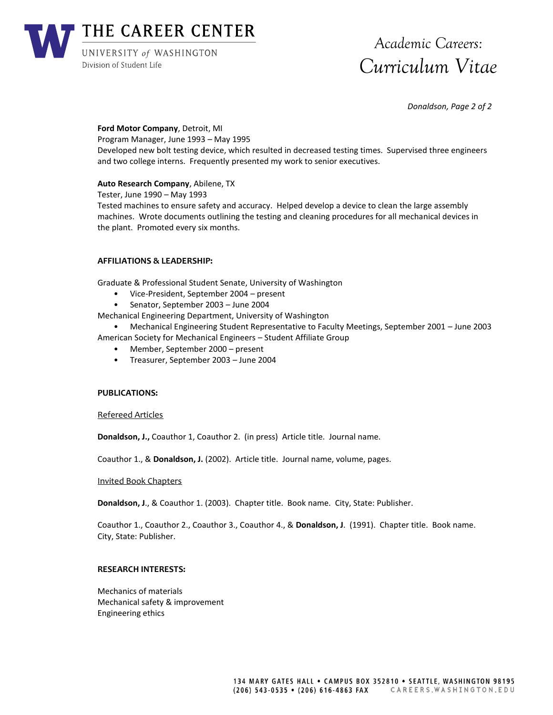

*Donaldson, Page 2 of 2*

# **Ford Motor Company**, Detroit, MI

Program Manager, June 1993 – May 1995 Developed new bolt testing device, which resulted in decreased testing times. Supervised three engineers and two college interns. Frequently presented my work to senior executives.

# **Auto Research Company**, Abilene, TX

Tester, June 1990 – May 1993 Tested machines to ensure safety and accuracy. Helped develop a device to clean the large assembly machines. Wrote documents outlining the testing and cleaning procedures for all mechanical devices in the plant. Promoted every six months.

# **AFFILIATIONS & LEADERSHIP:**

Graduate & Professional Student Senate, University of Washington

- Vice-President, September 2004 present
- Senator, September 2003 June 2004

Mechanical Engineering Department, University of Washington

• Mechanical Engineering Student Representative to Faculty Meetings, September 2001 – June 2003 American Society for Mechanical Engineers – Student Affiliate Group

- Member, September 2000 present
- Treasurer, September 2003 June 2004

# **PUBLICATIONS:**

Refereed Articles

**Donaldson, J.,** Coauthor 1, Coauthor 2. (in press) Article title. Journal name.

Coauthor 1., & **Donaldson, J.** (2002). Article title. Journal name, volume, pages.

Invited Book Chapters

**Donaldson, J**., & Coauthor 1. (2003). Chapter title. Book name. City, State: Publisher.

Coauthor 1., Coauthor 2., Coauthor 3., Coauthor 4., & **Donaldson, J**. (1991). Chapter title. Book name. City, State: Publisher.

# **RESEARCH INTERESTS:**

Mechanics of materials Mechanical safety & improvement Engineering ethics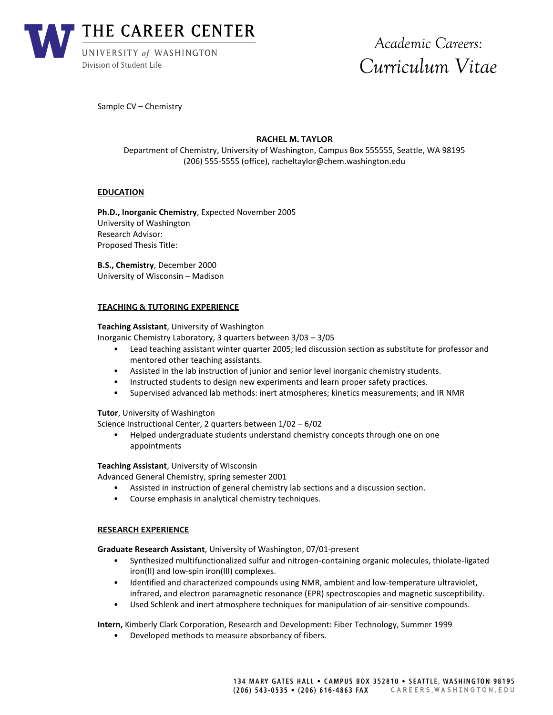

Sample CV – Chemistry

# **RACHEL M. TAYLOR**

Department of Chemistry, University of Washington, Campus Box 555555, Seattle, WA 98195 (206) 555-5555 (office), racheltaylor@chem.washington.edu

## **EDUCATION**

**Ph.D., Inorganic Chemistry**, Expected November 2005 University of Washington Research Advisor: Proposed Thesis Title:

**B.S., Chemistry**, December 2000 University of Wisconsin – Madison

#### **TEACHING & TUTORING EXPERIENCE**

**Teaching Assistant**, University of Washington

Inorganic Chemistry Laboratory, 3 quarters between 3/03 – 3/05

- Lead teaching assistant winter quarter 2005; led discussion section as substitute for professor and mentored other teaching assistants.
- Assisted in the lab instruction of junior and senior level inorganic chemistry students.
- Instructed students to design new experiments and learn proper safety practices.
- Supervised advanced lab methods: inert atmospheres; kinetics measurements; and IR NMR

#### **Tutor**, University of Washington

Science Instructional Center, 2 quarters between 1/02 – 6/02

• Helped undergraduate students understand chemistry concepts through one on one appointments

#### **Teaching Assistant**, University of Wisconsin

Advanced General Chemistry, spring semester 2001

- Assisted in instruction of general chemistry lab sections and a discussion section.
- Course emphasis in analytical chemistry techniques.

#### **RESEARCH EXPERIENCE**

**Graduate Research Assistant**, University of Washington, 07/01-present

- Synthesized multifunctionalized sulfur and nitrogen-containing organic molecules, thiolate-ligated iron(II) and low-spin iron(III) complexes.
- Identified and characterized compounds using NMR, ambient and low-temperature ultraviolet, infrared, and electron paramagnetic resonance (EPR) spectroscopies and magnetic susceptibility.
- Used Schlenk and inert atmosphere techniques for manipulation of air-sensitive compounds.

**Intern,** Kimberly Clark Corporation, Research and Development: Fiber Technology, Summer 1999

• Developed methods to measure absorbancy of fibers.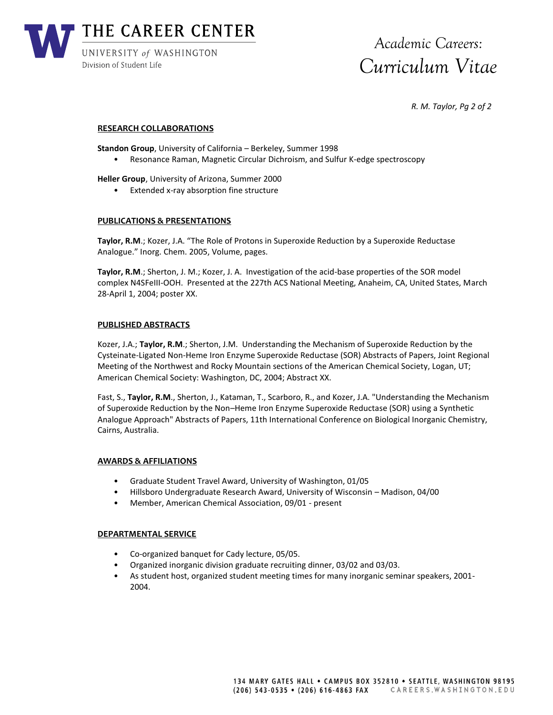

*R. M. Taylor, Pg 2 of 2*

## **RESEARCH COLLABORATIONS**

**Standon Group**, University of California – Berkeley, Summer 1998

• Resonance Raman, Magnetic Circular Dichroism, and Sulfur K-edge spectroscopy

**Heller Group**, University of Arizona, Summer 2000

• Extended x-ray absorption fine structure

## **PUBLICATIONS & PRESENTATIONS**

**Taylor, R.M**.; Kozer, J.A. "The Role of Protons in Superoxide Reduction by a Superoxide Reductase Analogue." Inorg. Chem. 2005, Volume, pages.

**Taylor, R.M**.; Sherton, J. M.; Kozer, J. A. Investigation of the acid-base properties of the SOR model complex N4SFeIII-OOH. Presented at the 227th ACS National Meeting, Anaheim, CA, United States, March 28-April 1, 2004; poster XX.

#### **PUBLISHED ABSTRACTS**

Kozer, J.A.; **Taylor, R.M**.; Sherton, J.M. Understanding the Mechanism of Superoxide Reduction by the Cysteinate-Ligated Non-Heme Iron Enzyme Superoxide Reductase (SOR) Abstracts of Papers, Joint Regional Meeting of the Northwest and Rocky Mountain sections of the American Chemical Society, Logan, UT; American Chemical Society: Washington, DC, 2004; Abstract XX.

Fast, S., **Taylor, R.M**., Sherton, J., Kataman, T., Scarboro, R., and Kozer, J.A. "Understanding the Mechanism of Superoxide Reduction by the Non–Heme Iron Enzyme Superoxide Reductase (SOR) using a Synthetic Analogue Approach" Abstracts of Papers, 11th International Conference on Biological Inorganic Chemistry, Cairns, Australia.

# **AWARDS & AFFILIATIONS**

- Graduate Student Travel Award, University of Washington, 01/05
- Hillsboro Undergraduate Research Award, University of Wisconsin Madison, 04/00
- Member, American Chemical Association, 09/01 present

#### **DEPARTMENTAL SERVICE**

- Co-organized banquet for Cady lecture, 05/05.
- Organized inorganic division graduate recruiting dinner, 03/02 and 03/03.
- As student host, organized student meeting times for many inorganic seminar speakers, 2001- 2004.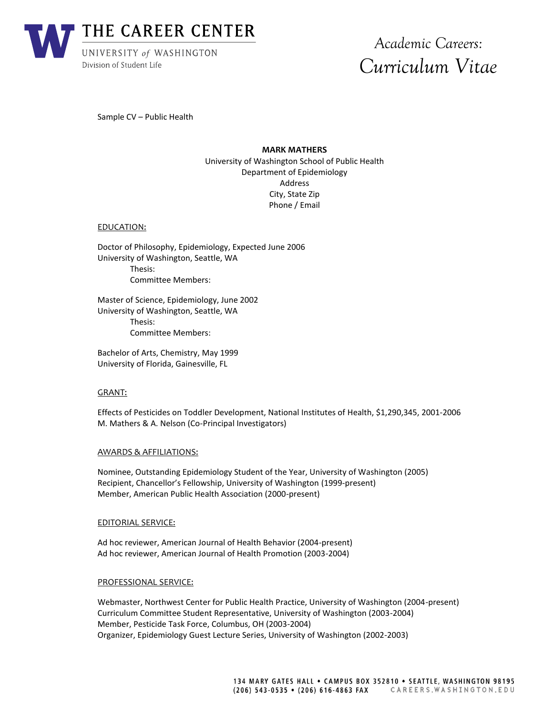

Sample CV – Public Health

# **MARK MATHERS**

University of Washington School of Public Health Department of Epidemiology Address City, State Zip Phone / Email

#### EDUCATION:

Doctor of Philosophy, Epidemiology, Expected June 2006 University of Washington, Seattle, WA Thesis: Committee Members:

Master of Science, Epidemiology, June 2002 University of Washington, Seattle, WA Thesis: Committee Members:

Bachelor of Arts, Chemistry, May 1999 University of Florida, Gainesville, FL

#### GRANT:

Effects of Pesticides on Toddler Development, National Institutes of Health, \$1,290,345, 2001-2006 M. Mathers & A. Nelson (Co-Principal Investigators)

#### AWARDS & AFFILIATIONS:

Nominee, Outstanding Epidemiology Student of the Year, University of Washington (2005) Recipient, Chancellor's Fellowship, University of Washington (1999-present) Member, American Public Health Association (2000-present)

#### EDITORIAL SERVICE:

Ad hoc reviewer, American Journal of Health Behavior (2004-present) Ad hoc reviewer, American Journal of Health Promotion (2003-2004)

#### PROFESSIONAL SERVICE:

Webmaster, Northwest Center for Public Health Practice, University of Washington (2004-present) Curriculum Committee Student Representative, University of Washington (2003-2004) Member, Pesticide Task Force, Columbus, OH (2003-2004) Organizer, Epidemiology Guest Lecture Series, University of Washington (2002-2003)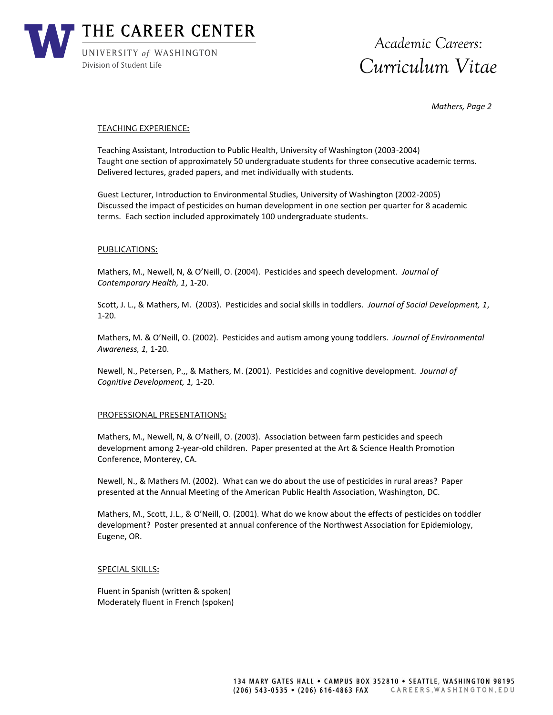

*Mathers, Page 2*

#### TEACHING EXPERIENCE:

Teaching Assistant, Introduction to Public Health, University of Washington (2003-2004) Taught one section of approximately 50 undergraduate students for three consecutive academic terms. Delivered lectures, graded papers, and met individually with students.

Guest Lecturer, Introduction to Environmental Studies, University of Washington (2002-2005) Discussed the impact of pesticides on human development in one section per quarter for 8 academic terms. Each section included approximately 100 undergraduate students.

## PUBLICATIONS:

Mathers, M., Newell, N, & O'Neill, O. (2004). Pesticides and speech development. *Journal of Contemporary Health, 1*, 1-20.

Scott, J. L., & Mathers, M. (2003). Pesticides and social skills in toddlers. *Journal of Social Development, 1*, 1-20.

Mathers, M. & O'Neill, O. (2002). Pesticides and autism among young toddlers. *Journal of Environmental Awareness, 1,* 1-20.

Newell, N., Petersen, P.,, & Mathers, M. (2001). Pesticides and cognitive development. *Journal of Cognitive Development, 1,* 1-20.

#### PROFESSIONAL PRESENTATIONS:

Mathers, M., Newell, N, & O'Neill, O. (2003). Association between farm pesticides and speech development among 2-year-old children. Paper presented at the Art & Science Health Promotion Conference, Monterey, CA.

Newell, N., & Mathers M. (2002). What can we do about the use of pesticides in rural areas? Paper presented at the Annual Meeting of the American Public Health Association, Washington, DC.

Mathers, M., Scott, J.L., & O'Neill, O. (2001). What do we know about the effects of pesticides on toddler development? Poster presented at annual conference of the Northwest Association for Epidemiology, Eugene, OR.

#### SPECIAL SKILLS:

Fluent in Spanish (written & spoken) Moderately fluent in French (spoken)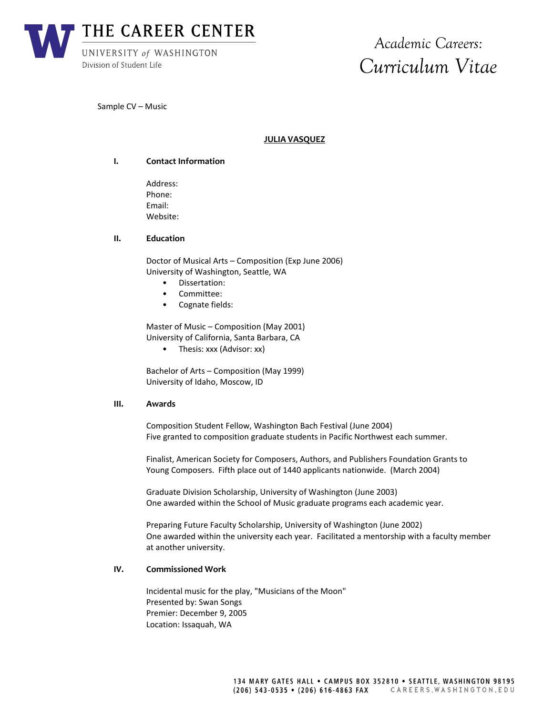

Sample CV – Music

# **JULIA VASQUEZ**

## **I. Contact Information**

Address: Phone: Email: Website:

## **II. Education**

Doctor of Musical Arts – Composition (Exp June 2006) University of Washington, Seattle, WA

- Dissertation:
- Committee:
- Cognate fields:

Master of Music – Composition (May 2001) University of California, Santa Barbara, CA

• Thesis: xxx (Advisor: xx)

Bachelor of Arts – Composition (May 1999) University of Idaho, Moscow, ID

#### **III. Awards**

Composition Student Fellow, Washington Bach Festival (June 2004) Five granted to composition graduate students in Pacific Northwest each summer.

Finalist, American Society for Composers, Authors, and Publishers Foundation Grants to Young Composers. Fifth place out of 1440 applicants nationwide. (March 2004)

Graduate Division Scholarship, University of Washington (June 2003) One awarded within the School of Music graduate programs each academic year.

Preparing Future Faculty Scholarship, University of Washington (June 2002) One awarded within the university each year. Facilitated a mentorship with a faculty member at another university.

## **IV. Commissioned Work**

Incidental music for the play, "Musicians of the Moon" Presented by: Swan Songs Premier: December 9, 2005 Location: Issaquah, WA